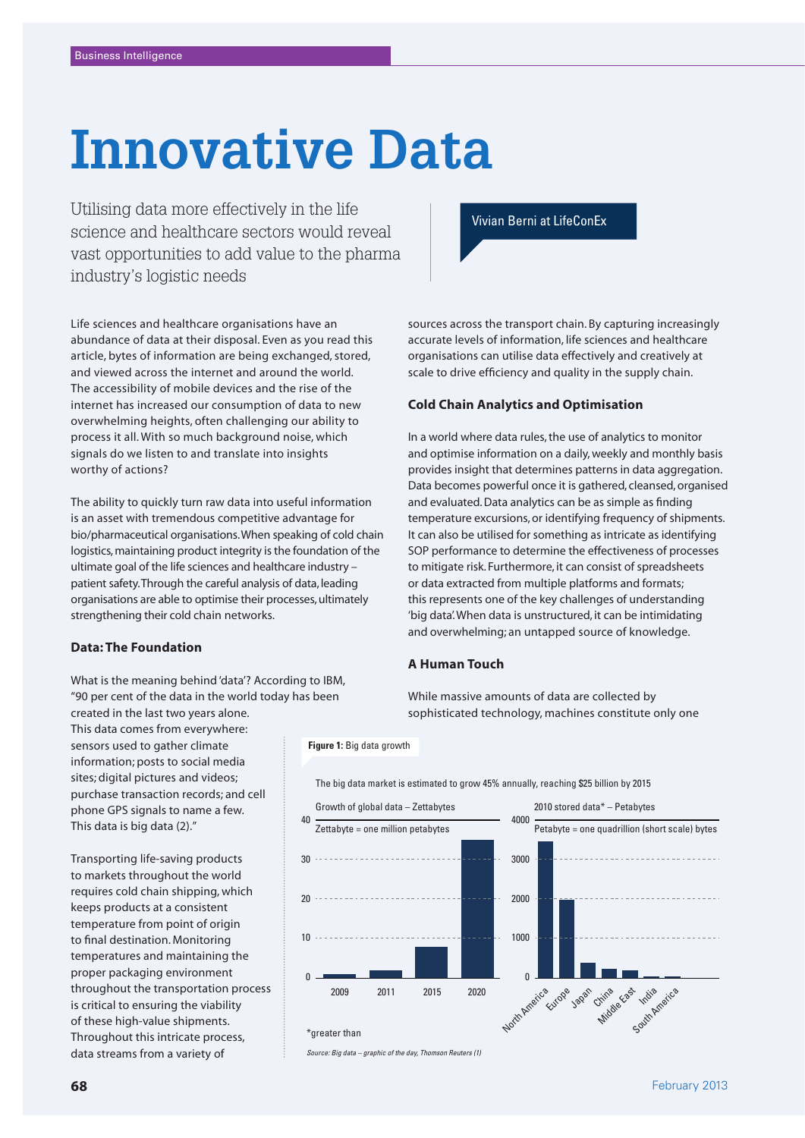# **Innovative Data**

Utilising data more effectively in the life science and healthcare sectors would reveal vast opportunities to add value to the pharma industry's logistic needs

# Vivian Berni at LifeConEx

Life sciences and healthcare organisations have an abundance of data at their disposal. Even as you read this article, bytes of information are being exchanged, stored, and viewed across the internet and around the world. The accessibility of mobile devices and the rise of the internet has increased our consumption of data to new overwhelming heights, often challenging our ability to process it all. With so much background noise, which signals do we listen to and translate into insights worthy of actions?

The ability to quickly turn raw data into useful information is an asset with tremendous competitive advantage for bio/pharmaceutical organisations. When speaking of cold chain logistics, maintaining product integrity is the foundation of the ultimate goal of the life sciences and healthcare industry – patient safety. Through the careful analysis of data, leading organisations are able to optimise their processes, ultimately strengthening their cold chain networks.

## **Data: The Foundation**

What is the meaning behind 'data'? According to IBM, "90 per cent of the data in the world today has been

created in the last two years alone. This data comes from everywhere: sensors used to gather climate information; posts to social media sites; digital pictures and videos; purchase transaction records; and cell phone GPS signals to name a few. This data is big data (2)."

Transporting life-saving products to markets throughout the world requires cold chain shipping, which keeps products at a consistent temperature from point of origin to final destination. Monitoring temperatures and maintaining the proper packaging environment throughout the transportation process is critical to ensuring the viability of these high-value shipments. Throughout this intricate process, data streams from a variety of

sources across the transport chain. By capturing increasingly accurate levels of information, life sciences and healthcare organisations can utilise data effectively and creatively at scale to drive efficiency and quality in the supply chain.

## **Cold Chain Analytics and Optimisation**

In a world where data rules, the use of analytics to monitor and optimise information on a daily, weekly and monthly basis provides insight that determines patterns in data aggregation. Data becomes powerful once it is gathered, cleansed, organised and evaluated. Data analytics can be as simple as finding temperature excursions, or identifying frequency of shipments. It can also be utilised for something as intricate as identifying SOP performance to determine the effectiveness of processes to mitigate risk. Furthermore, it can consist of spreadsheets or data extracted from multiple platforms and formats; this represents one of the key challenges of understanding 'big data'. When data is unstructured, it can be intimidating and overwhelming; an untapped source of knowledge.

## **A Human Touch**

The big data market is estimated to grow 45% annually, reaching \$25 billion by 2015

While massive amounts of data are collected by sophisticated technology, machines constitute only one



*Source: Big data – graphic of the day, Thomson Reuters (1)*

**Figure 1:** Big data growth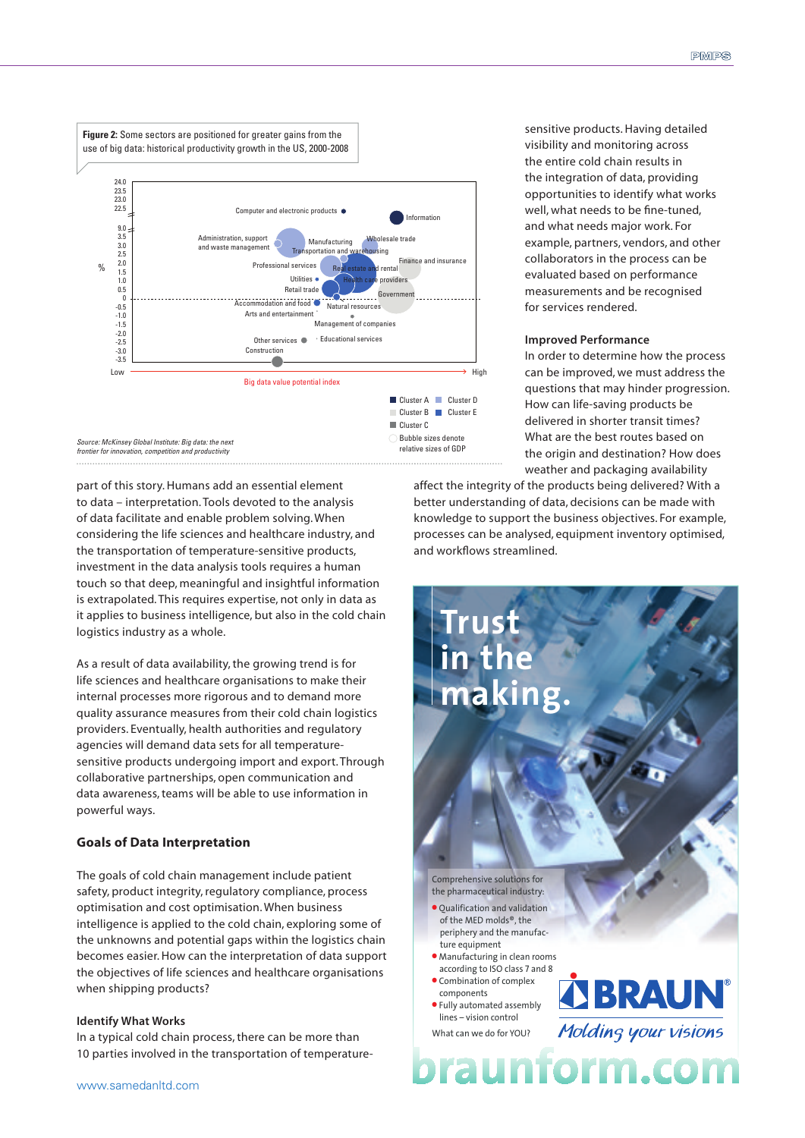

part of this story. Humans add an essential element to data – interpretation. Tools devoted to the analysis of data facilitate and enable problem solving. When considering the life sciences and healthcare industry, and the transportation of temperature-sensitive products, investment in the data analysis tools requires a human touch so that deep, meaningful and insightful information is extrapolated. This requires expertise, not only in data as it applies to business intelligence, but also in the cold chain logistics industry as a whole.

As a result of data availability, the growing trend is for life sciences and healthcare organisations to make their internal processes more rigorous and to demand more quality assurance measures from their cold chain logistics providers. Eventually, health authorities and regulatory agencies will demand data sets for all temperaturesensitive products undergoing import and export. Through collaborative partnerships, open communication and data awareness, teams will be able to use information in powerful ways.

## **Goals of Data Interpretation**

The goals of cold chain management include patient safety, product integrity, regulatory compliance, process optimisation and cost optimisation. When business intelligence is applied to the cold chain, exploring some of the unknowns and potential gaps within the logistics chain becomes easier. How can the interpretation of data support the objectives of life sciences and healthcare organisations when shipping products?

## **Identify What Works**

In a typical cold chain process, there can be more than 10 parties involved in the transportation of temperaturesensitive products. Having detailed visibility and monitoring across the entire cold chain results in the integration of data, providing opportunities to identify what works well, what needs to be fine-tuned. and what needs major work. For example, partners, vendors, and other collaborators in the process can be evaluated based on performance measurements and be recognised for services rendered.

#### **Improved Performance**

In order to determine how the process can be improved, we must address the questions that may hinder progression. How can life-saving products be delivered in shorter transit times? What are the best routes based on the origin and destination? How does weather and packaging availability

affect the integrity of the products being delivered? With a better understanding of data, decisions can be made with knowledge to support the business objectives. For example, processes can be analysed, equipment inventory optimised, and workflows streamlined.